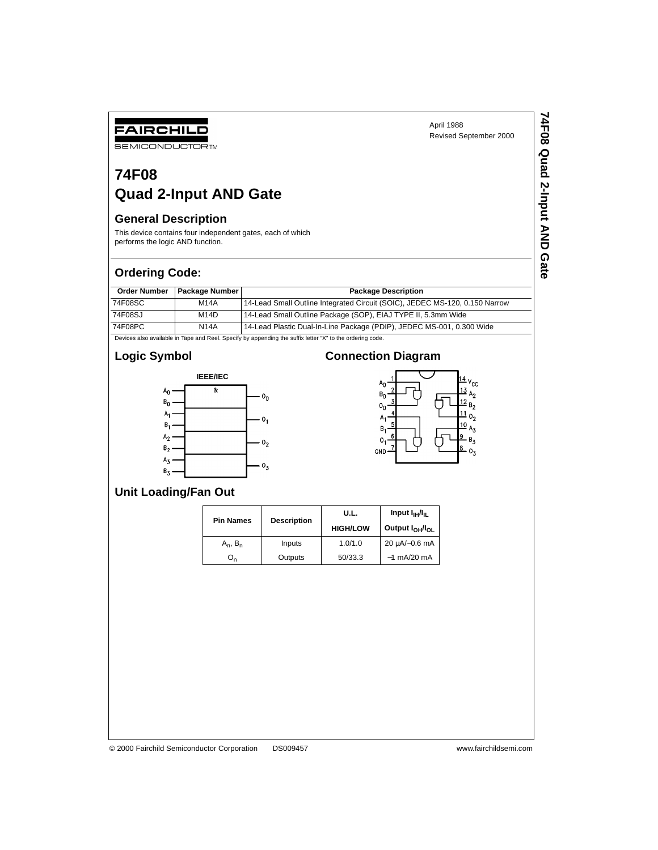**74F08 Quad 2-Input AND Gate**

74F08 Quad 2-Input AND Gate

# **74F08 Quad 2-Input AND Gate**

#### **General Description**

FAIRCHILD **SEMICONDUCTOR TM** 

This device contains four independent gates, each of which performs the logic AND function.

#### **Ordering Code:**

| <b>Order Number</b> | <b>Package Number</b> | <b>Package Description</b>                                                  |  |  |  |
|---------------------|-----------------------|-----------------------------------------------------------------------------|--|--|--|
| 74F08SC             | <b>M14A</b>           | 14-Lead Small Outline Integrated Circuit (SOIC), JEDEC MS-120, 0.150 Narrow |  |  |  |
| 74F08SJ             | M <sub>14</sub> D     | 14-Lead Small Outline Package (SOP), EIAJ TYPE II, 5.3mm Wide               |  |  |  |
| 74F08PC             | <b>N14A</b>           | 14-Lead Plastic Dual-In-Line Package (PDIP), JEDEC MS-001, 0.300 Wide       |  |  |  |

Devices also available in Tape and Reel. Specify by appending the suffix letter "X" to the ordering code.

### **Logic Symbol**



# **Connection Diagram**



## **Unit Loading/Fan Out**

|  | <b>Pin Names</b> |                    | U.L.            | Input $I_{\text{H}}/I_{\text{H}}$       |  |
|--|------------------|--------------------|-----------------|-----------------------------------------|--|
|  |                  | <b>Description</b> | <b>HIGH/LOW</b> | Output I <sub>OH</sub> /I <sub>OL</sub> |  |
|  | $A_n$ , $B_n$    | Inputs             | 1.0/1.0         | $20 \mu A/-0.6 \text{ mA}$              |  |
|  | $O_n$            | Outputs            | 50/33.3         | $-1$ mA/20 mA                           |  |